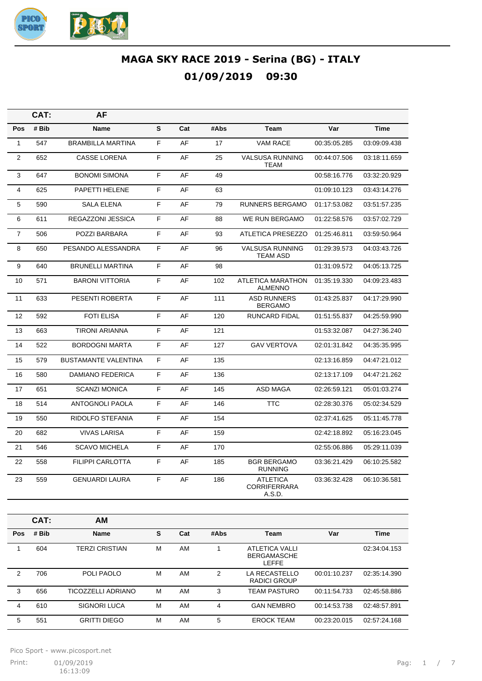

|                | CAT:  | AF                          |    |     |      |                                                  |              |              |
|----------------|-------|-----------------------------|----|-----|------|--------------------------------------------------|--------------|--------------|
| Pos            | # Bib | Name                        | S  | Cat | #Abs | <b>Team</b>                                      | Var          | <b>Time</b>  |
| 1              | 547   | <b>BRAMBILLA MARTINA</b>    | F  | AF  | 17   | <b>VAM RACE</b>                                  | 00:35:05.285 | 03:09:09.438 |
| $\overline{2}$ | 652   | <b>CASSE LORENA</b>         | F  | AF  | 25   | VALSUSA RUNNING<br><b>TEAM</b>                   | 00:44:07.506 | 03:18:11.659 |
| 3              | 647   | <b>BONOMI SIMONA</b>        | F  | AF  | 49   |                                                  | 00:58:16.776 | 03:32:20.929 |
| 4              | 625   | PAPETTI HELENE              | F  | AF  | 63   |                                                  | 01:09:10.123 | 03:43:14.276 |
| 5              | 590   | <b>SALA ELENA</b>           | F  | AF  | 79   | <b>RUNNERS BERGAMO</b>                           | 01:17:53.082 | 03:51:57.235 |
| 6              | 611   | <b>REGAZZONI JESSICA</b>    | F. | AF  | 88   | <b>WE RUN BERGAMO</b>                            | 01:22:58.576 | 03:57:02.729 |
| $\overline{7}$ | 506   | POZZI BARBARA               | F. | AF  | 93   | ATLETICA PRESEZZO                                | 01:25:46.811 | 03:59:50.964 |
| 8              | 650   | PESANDO ALESSANDRA          | F  | AF  | 96   | <b>VALSUSA RUNNING</b><br><b>TEAM ASD</b>        | 01:29:39.573 | 04:03:43.726 |
| 9              | 640   | <b>BRUNELLI MARTINA</b>     | F  | AF  | 98   |                                                  | 01:31:09.572 | 04:05:13.725 |
| 10             | 571   | <b>BARONI VITTORIA</b>      | F  | AF  | 102  | <b>ATLETICA MARATHON</b><br><b>ALMENNO</b>       | 01:35:19.330 | 04:09:23.483 |
| 11             | 633   | PESENTI ROBERTA             | F  | AF  | 111  | <b>ASD RUNNERS</b><br><b>BERGAMO</b>             | 01:43:25.837 | 04:17:29.990 |
| 12             | 592   | <b>FOTI ELISA</b>           | F. | AF  | 120  | <b>RUNCARD FIDAL</b>                             | 01:51:55.837 | 04:25:59.990 |
| 13             | 663   | <b>TIRONI ARIANNA</b>       | F. | AF  | 121  |                                                  | 01:53:32.087 | 04:27:36.240 |
| 14             | 522   | <b>BORDOGNI MARTA</b>       | F. | AF  | 127  | <b>GAV VERTOVA</b>                               | 02:01:31.842 | 04:35:35.995 |
| 15             | 579   | <b>BUSTAMANTE VALENTINA</b> | F  | AF  | 135  |                                                  | 02:13:16.859 | 04:47:21.012 |
| 16             | 580   | <b>DAMIANO FEDERICA</b>     | F. | AF  | 136  |                                                  | 02:13:17.109 | 04:47:21.262 |
| 17             | 651   | <b>SCANZI MONICA</b>        | F  | AF  | 145  | <b>ASD MAGA</b>                                  | 02:26:59.121 | 05:01:03.274 |
| 18             | 514   | ANTOGNOLI PAOLA             | F. | AF  | 146  | <b>TTC</b>                                       | 02:28:30.376 | 05:02:34.529 |
| 19             | 550   | RIDOLFO STEFANIA            | F  | AF  | 154  |                                                  | 02:37:41.625 | 05:11:45.778 |
| 20             | 682   | <b>VIVAS LARISA</b>         | F. | AF  | 159  |                                                  | 02:42:18.892 | 05:16:23.045 |
| 21             | 546   | <b>SCAVO MICHELA</b>        | F. | AF  | 170  |                                                  | 02:55:06.886 | 05:29:11.039 |
| 22             | 558   | <b>FILIPPI CARLOTTA</b>     | F  | AF  | 185  | <b>BGR BERGAMO</b><br><b>RUNNING</b>             | 03:36:21.429 | 06:10:25.582 |
| 23             | 559   | <b>GENUARDI LAURA</b>       | F  | AF  | 186  | <b>ATLETICA</b><br><b>CORRIFERRARA</b><br>A.S.D. | 03:36:32.428 | 06:10:36.581 |
|                |       |                             |    |     |      |                                                  |              |              |

|            | CAT:  | <b>AM</b>             |   |     |      |                                                      |              |              |
|------------|-------|-----------------------|---|-----|------|------------------------------------------------------|--------------|--------------|
| <b>Pos</b> | # Bib | <b>Name</b>           | s | Cat | #Abs | Team                                                 | Var          | <b>Time</b>  |
|            | 604   | <b>TERZI CRISTIAN</b> | М | AM  |      | <b>ATLETICA VALLI</b><br><b>BERGAMASCHE</b><br>LEFFE |              | 02:34:04.153 |
| 2          | 706   | POLI PAOLO            | M | AM  | 2    | LA RECASTELLO<br>RADICI GROUP                        | 00:01:10.237 | 02:35:14.390 |
| 3          | 656   | TICOZZELLI ADRIANO    | M | AM  | 3    | <b>TEAM PASTURO</b>                                  | 00:11:54.733 | 02:45:58.886 |
| 4          | 610   | SIGNORI LUCA          | М | AM  | 4    | <b>GAN NEMBRO</b>                                    | 00:14:53.738 | 02:48:57.891 |
| 5          | 551   | <b>GRITTI DIEGO</b>   | M | AM  | 5    | <b>EROCK TEAM</b>                                    | 00:23:20.015 | 02:57:24.168 |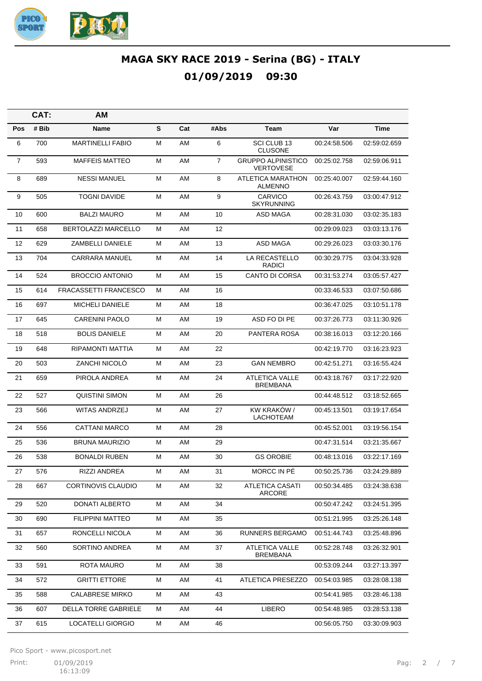

|                | CAT:  | AM                      |   |     |      |                                               |              |              |
|----------------|-------|-------------------------|---|-----|------|-----------------------------------------------|--------------|--------------|
| Pos            | # Bib | Name                    | S | Cat | #Abs | Team                                          | Var          | Time         |
| 6              | 700   | <b>MARTINELLI FABIO</b> | М | AM  | 6    | SCI CLUB 13<br><b>CLUSONE</b>                 | 00:24:58.506 | 02:59:02.659 |
| $\overline{7}$ | 593   | <b>MAFFEIS MATTEO</b>   | М | AM  | 7    | <b>GRUPPO ALPINISTICO</b><br><b>VERTOVESE</b> | 00:25:02.758 | 02:59:06.911 |
| 8              | 689   | <b>NESSI MANUEL</b>     | М | AM  | 8    | ATLETICA MARATHON<br><b>ALMENNO</b>           | 00:25:40.007 | 02:59:44.160 |
| 9              | 505   | <b>TOGNI DAVIDE</b>     | М | AM  | 9    | <b>CARVICO</b><br><b>SKYRUNNING</b>           | 00:26:43.759 | 03:00:47.912 |
| 10             | 600   | <b>BALZI MAURO</b>      | М | AM  | 10   | <b>ASD MAGA</b>                               | 00:28:31.030 | 03:02:35.183 |
| 11             | 658   | BERTOLAZZI MARCELLO     | м | AM  | 12   |                                               | 00:29:09.023 | 03:03:13.176 |
| 12             | 629   | ZAMBELLI DANIELE        | м | AM  | 13   | <b>ASD MAGA</b>                               | 00:29:26.023 | 03:03:30.176 |
| 13             | 704   | <b>CARRARA MANUEL</b>   | М | AM  | 14   | LA RECASTELLO<br>RADICI                       | 00:30:29.775 | 03:04:33.928 |
| 14             | 524   | <b>BROCCIO ANTONIO</b>  | М | AM  | 15   | <b>CANTO DI CORSA</b>                         | 00:31:53.274 | 03:05:57.427 |
| 15             | 614   | FRACASSETTI FRANCESCO   | м | AM  | 16   |                                               | 00:33:46.533 | 03:07:50.686 |
| 16             | 697   | <b>MICHELI DANIELE</b>  | М | AM  | 18   |                                               | 00:36:47.025 | 03:10:51.178 |
| 17             | 645   | <b>CARENINI PAOLO</b>   | м | AM  | 19   | ASD FO DI PE                                  | 00:37:26.773 | 03:11:30.926 |
| 18             | 518   | <b>BOLIS DANIELE</b>    | М | AM  | 20   | PANTERA ROSA                                  | 00:38:16.013 | 03:12:20.166 |
| 19             | 648   | RIPAMONTI MATTIA        | М | AM  | 22   |                                               | 00:42:19.770 | 03:16:23.923 |
| 20             | 503   | <b>ZANCHI NICOLO</b>    | Μ | AM  | 23   | <b>GAN NEMBRO</b>                             | 00:42:51.271 | 03:16:55.424 |
| 21             | 659   | PIROLA ANDREA           | М | AM  | 24   | <b>ATLETICA VALLE</b><br><b>BREMBANA</b>      | 00:43:18.767 | 03:17:22.920 |
| 22             | 527   | <b>QUISTINI SIMON</b>   | М | AM  | 26   |                                               | 00:44:48.512 | 03:18:52.665 |
| 23             | 566   | <b>WITAS ANDRZEJ</b>    | М | AM  | 27   | KW KRAKÓW /<br>LACHOTEAM                      | 00:45:13.501 | 03:19:17.654 |
| 24             | 556   | <b>CATTANI MARCO</b>    | М | AM  | 28   |                                               | 00:45:52.001 | 03:19:56.154 |
| 25             | 536   | <b>BRUNA MAURIZIO</b>   | м | AM  | 29   |                                               | 00:47:31.514 | 03:21:35.667 |
| 26             | 538   | <b>BONALDI RUBEN</b>    | м | AM  | 30   | <b>GS OROBIE</b>                              | 00:48:13.016 | 03:22:17.169 |
| 27             | 576   | RIZZI ANDREA            | м | AM  | 31   | MORCC IN PE                                   | 00:50:25.736 | 03:24:29.889 |
| 28             | 667   | CORTINOVIS CLAUDIO      | М | AM  | 32   | <b>ATLETICA CASATI</b><br><b>ARCORE</b>       | 00:50:34.485 | 03:24:38.638 |
| 29             | 520   | DONATI ALBERTO          | Μ | AM  | 34   |                                               | 00:50:47.242 | 03:24:51.395 |
| 30             | 690   | <b>FILIPPINI MATTEO</b> | M | AM  | 35   |                                               | 00:51:21.995 | 03:25:26.148 |
| 31             | 657   | RONCELLI NICOLA         | M | AM  | 36   | RUNNERS BERGAMO                               | 00:51:44.743 | 03:25:48.896 |
| 32             | 560   | SORTINO ANDREA          | M | AM  | 37   | <b>ATLETICA VALLE</b><br><b>BREMBANA</b>      | 00:52:28.748 | 03:26:32.901 |
| 33             | 591   | <b>ROTA MAURO</b>       | М | AM  | 38   |                                               | 00:53:09.244 | 03:27:13.397 |
| 34             | 572   | <b>GRITTI ETTORE</b>    | М | AM  | 41   | ATLETICA PRESEZZO                             | 00:54:03.985 | 03:28:08.138 |
| 35             | 588   | <b>CALABRESE MIRKO</b>  | M | AM  | 43   |                                               | 00:54:41.985 | 03:28:46.138 |
| 36             | 607   | DELLA TORRE GABRIELE    | М | AM  | 44   | LIBERO                                        | 00:54:48.985 | 03:28:53.138 |
| 37             | 615   | LOCATELLI GIORGIO       | М | AM  | 46   |                                               | 00:56:05.750 | 03:30:09.903 |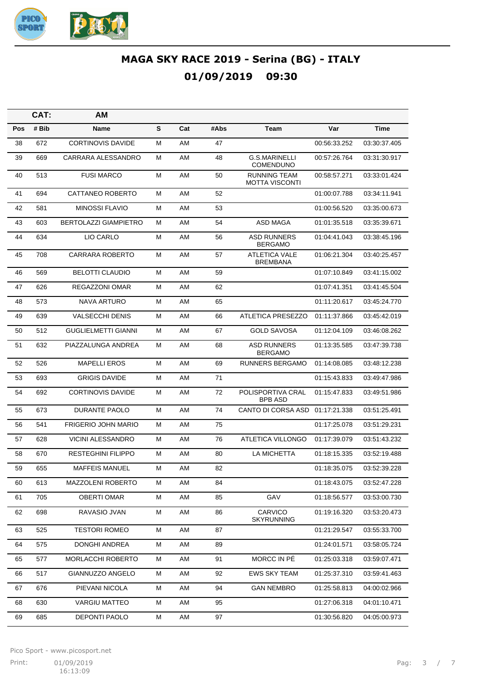

|     | CAT:  | AM                           |   |     |      |                                              |              |              |
|-----|-------|------------------------------|---|-----|------|----------------------------------------------|--------------|--------------|
| Pos | # Bib | Name                         | S | Cat | #Abs | Team                                         | Var          | Time         |
| 38  | 672   | <b>CORTINOVIS DAVIDE</b>     | М | AM  | 47   |                                              | 00:56:33.252 | 03:30:37.405 |
| 39  | 669   | CARRARA ALESSANDRO           | Μ | AM  | 48   | <b>G.S.MARINELLI</b><br><b>COMENDUNO</b>     | 00:57:26.764 | 03:31:30.917 |
| 40  | 513   | <b>FUSI MARCO</b>            | М | AM  | 50   | <b>RUNNING TEAM</b><br><b>MOTTA VISCONTI</b> | 00:58:57.271 | 03:33:01.424 |
| 41  | 694   | CATTANEO ROBERTO             | М | AM  | 52   |                                              | 01:00:07.788 | 03:34:11.941 |
| 42  | 581   | <b>MINOSSI FLAVIO</b>        | М | AM  | 53   |                                              | 01:00:56.520 | 03:35:00.673 |
| 43  | 603   | <b>BERTOLAZZI GIAMPIETRO</b> | м | AM  | 54   | ASD MAGA                                     | 01:01:35.518 | 03:35:39.671 |
| 44  | 634   | LIO CARLO                    | М | AM  | 56   | <b>ASD RUNNERS</b><br><b>BERGAMO</b>         | 01:04:41.043 | 03:38:45.196 |
| 45  | 708   | <b>CARRARA ROBERTO</b>       | М | AM  | 57   | <b>ATLETICA VALE</b><br><b>BREMBANA</b>      | 01:06:21.304 | 03:40:25.457 |
| 46  | 569   | <b>BELOTTI CLAUDIO</b>       | М | AM  | 59   |                                              | 01:07:10.849 | 03:41:15.002 |
| 47  | 626   | <b>REGAZZONI OMAR</b>        | М | AM  | 62   |                                              | 01:07:41.351 | 03:41:45.504 |
| 48  | 573   | <b>NAVA ARTURO</b>           | М | AM  | 65   |                                              | 01:11:20.617 | 03:45:24.770 |
| 49  | 639   | <b>VALSECCHI DENIS</b>       | М | AM  | 66   | ATLETICA PRESEZZO                            | 01:11:37.866 | 03:45:42.019 |
| 50  | 512   | <b>GUGLIELMETTI GIANNI</b>   | М | AM  | 67   | <b>GOLD SAVOSA</b>                           | 01:12:04.109 | 03:46:08.262 |
| 51  | 632   | PIAZZALUNGA ANDREA           | М | AM  | 68   | <b>ASD RUNNERS</b><br><b>BERGAMO</b>         | 01:13:35.585 | 03:47:39.738 |
| 52  | 526   | <b>MAPELLI EROS</b>          | М | AM  | 69   | <b>RUNNERS BERGAMO</b>                       | 01:14:08.085 | 03:48:12.238 |
| 53  | 693   | <b>GRIGIS DAVIDE</b>         | М | AM  | 71   |                                              | 01:15:43.833 | 03:49:47.986 |
| 54  | 692   | <b>CORTINOVIS DAVIDE</b>     | м | AM  | 72   | POLISPORTIVA CRAL<br><b>BPB ASD</b>          | 01:15:47.833 | 03:49:51.986 |
| 55  | 673   | DURANTE PAOLO                | М | AM  | 74   | CANTO DI CORSA ASD                           | 01:17:21.338 | 03:51:25.491 |
| 56  | 541   | <b>FRIGERIO JOHN MARIO</b>   | М | AM  | 75   |                                              | 01:17:25.078 | 03:51:29.231 |
| 57  | 628   | <b>VICINI ALESSANDRO</b>     | Μ | AM  | 76   | ATLETICA VILLONGO                            | 01:17:39.079 | 03:51:43.232 |
| 58  | 670   | <b>RESTEGHINI FILIPPO</b>    | Μ | AM  | 80   | LA MICHETTA                                  | 01:18:15.335 | 03:52:19.488 |
| 59  | 655   | <b>MAFFEIS MANUEL</b>        | М | AM  | 82   |                                              | 01:18:35.075 | 03:52:39.228 |
| 60  | 613   | MAZZOLENI ROBERTO            | М | AM  | 84   |                                              | 01:18:43.075 | 03:52:47.228 |
| 61  | 705   | <b>OBERTI OMAR</b>           | М | AM  | 85   | GAV                                          | 01:18:56.577 | 03:53:00.730 |
| 62  | 698   | RAVASIO JVAN                 | М | AM  | 86   | CARVICO<br><b>SKYRUNNING</b>                 | 01:19:16.320 | 03:53:20.473 |
| 63  | 525   | <b>TESTORI ROMEO</b>         | М | AM  | 87   |                                              | 01:21:29.547 | 03:55:33.700 |
| 64  | 575   | DONGHI ANDREA                | М | AM  | 89   |                                              | 01:24:01.571 | 03:58:05.724 |
| 65  | 577   | MORLACCHI ROBERTO            | М | AM  | 91   | MORCC IN PÉ                                  | 01:25:03.318 | 03:59:07.471 |
| 66  | 517   | GIANNUZZO ANGELO             | М | AM  | 92   | <b>EWS SKY TEAM</b>                          | 01:25:37.310 | 03:59:41.463 |
| 67  | 676   | PIEVANI NICOLA               | М | AM  | 94   | <b>GAN NEMBRO</b>                            | 01:25:58.813 | 04:00:02.966 |
| 68  | 630   | <b>VARGIU MATTEO</b>         | М | AM  | 95   |                                              | 01:27:06.318 | 04:01:10.471 |
| 69  | 685   | DEPONTI PAOLO                | М | AM  | 97   |                                              | 01:30:56.820 | 04:05:00.973 |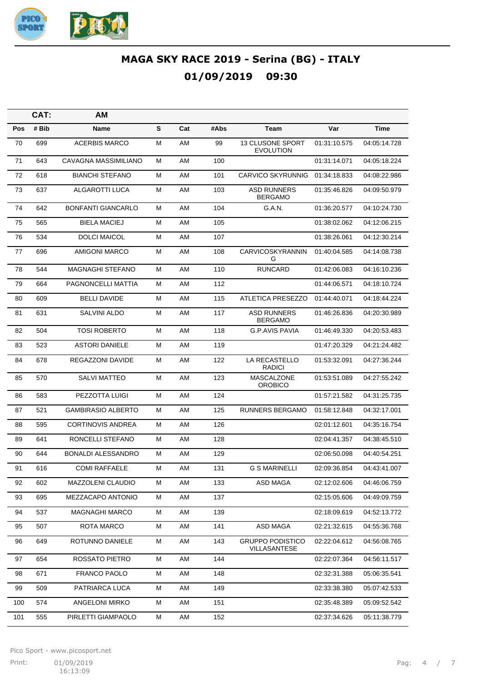

|     | CAT:  | AM                        |   |     |      |                                             |              |              |
|-----|-------|---------------------------|---|-----|------|---------------------------------------------|--------------|--------------|
| Pos | # Bib | Name                      | S | Cat | #Abs | Team                                        | Var          | <b>Time</b>  |
| 70  | 699   | <b>ACERBIS MARCO</b>      | М | AM  | 99   | <b>13 CLUSONE SPORT</b><br><b>EVOLUTION</b> | 01:31:10.575 | 04:05:14.728 |
| 71  | 643   | CAVAGNA MASSIMILIANO      | М | AM  | 100  |                                             | 01:31:14.071 | 04:05:18.224 |
| 72  | 618   | <b>BIANCHI STEFANO</b>    | М | AM  | 101  | <b>CARVICO SKYRUNNIG</b>                    | 01:34:18.833 | 04:08:22.986 |
| 73  | 637   | ALGAROTTI LUCA            | М | AM  | 103  | <b>ASD RUNNERS</b><br><b>BERGAMO</b>        | 01:35:46.826 | 04:09:50.979 |
| 74  | 642   | <b>BONFANTI GIANCARLO</b> | Μ | AM  | 104  | <b>G.A.N.</b>                               | 01:36:20.577 | 04:10:24.730 |
| 75  | 565   | <b>BIELA MACIEJ</b>       | Μ | AM  | 105  |                                             | 01:38:02.062 | 04:12:06.215 |
| 76  | 534   | <b>DOLCI MAICOL</b>       | М | AM  | 107  |                                             | 01:38:26.061 | 04:12:30.214 |
| 77  | 696   | <b>AMIGONI MARCO</b>      | Μ | AM  | 108  | CARVICOSKYRANNIN<br>G                       | 01:40:04.585 | 04:14:08.738 |
| 78  | 544   | MAGNAGHI STEFANO          | Μ | AM  | 110  | <b>RUNCARD</b>                              | 01:42:06.083 | 04:16:10.236 |
| 79  | 664   | PAGNONCELLI MATTIA        | Μ | AM  | 112  |                                             | 01:44:06.571 | 04:18:10.724 |
| 80  | 609   | <b>BELLI DAVIDE</b>       | Μ | AM  | 115  | ATLETICA PRESEZZO                           | 01:44:40.071 | 04:18:44.224 |
| 81  | 631   | SALVINI ALDO              | М | AM  | 117  | <b>ASD RUNNERS</b><br><b>BERGAMO</b>        | 01:46:26.836 | 04:20:30.989 |
| 82  | 504   | <b>TOSI ROBERTO</b>       | Μ | AM  | 118  | <b>G.P.AVIS PAVIA</b>                       | 01:46:49.330 | 04:20:53.483 |
| 83  | 523   | <b>ASTORI DANIELE</b>     | М | AM  | 119  |                                             | 01:47:20.329 | 04:21:24.482 |
| 84  | 678   | REGAZZONI DAVIDE          | М | AM  | 122  | LA RECASTELLO<br><b>RADICI</b>              | 01:53:32.091 | 04:27:36.244 |
| 85  | 570   | <b>SALVI MATTEO</b>       | м | AM  | 123  | <b>MASCALZONE</b><br>OROBICO                | 01:53:51.089 | 04:27:55.242 |
| 86  | 583   | PEZZOTTA LUIGI            | Μ | AM  | 124  |                                             | 01:57:21.582 | 04:31:25.735 |
| 87  | 521   | <b>GAMBIRASIO ALBERTO</b> | Μ | AM  | 125  | <b>RUNNERS BERGAMO</b>                      | 01:58:12.848 | 04:32:17.001 |
| 88  | 595   | <b>CORTINOVIS ANDREA</b>  | Μ | AM  | 126  |                                             | 02:01:12.601 | 04:35:16.754 |
| 89  | 641   | RONCELLI STEFANO          | Μ | AM  | 128  |                                             | 02:04:41.357 | 04:38:45.510 |
| 90  | 644   | <b>BONALDI ALESSANDRO</b> | Μ | AM  | 129  |                                             | 02:06:50.098 | 04:40:54.251 |
| 91  | 616   | <b>COMI RAFFAELE</b>      | М | AM  | 131  | <b>G S MARINELLI</b>                        | 02:09:36.854 | 04:43:41.007 |
| 92  | 602   | MAZZOLENI CLAUDIO         | М | AM  | 133  | ASD MAGA                                    | 02:12:02.606 | 04:46:06.759 |
| 93  | 695   | MEZZACAPO ANTONIO         | М | AM  | 137  |                                             | 02:15:05.606 | 04:49:09.759 |
| 94  | 537   | <b>MAGNAGHI MARCO</b>     | М | AM  | 139  |                                             | 02:18:09.619 | 04:52:13.772 |
| 95  | 507   | ROTA MARCO                | M | AM  | 141  | ASD MAGA                                    | 02:21:32.615 | 04:55:36.768 |
| 96  | 649   | ROTUNNO DANIELE           | М | AM  | 143  | <b>GRUPPO PODISTICO</b><br>VILLASANTESE     | 02:22:04.612 | 04:56:08.765 |
| 97  | 654   | ROSSATO PIETRO            | м | AM  | 144  |                                             | 02:22:07.364 | 04:56:11.517 |
| 98  | 671   | FRANCO PAOLO              | M | AM  | 148  |                                             | 02:32:31.388 | 05:06:35.541 |
| 99  | 509   | PATRIARCA LUCA            | м | AM  | 149  |                                             | 02:33:38.380 | 05:07:42.533 |
| 100 | 574   | ANGELONI MIRKO            | М | AM  | 151  |                                             | 02:35:48.389 | 05:09:52.542 |
| 101 | 555   | PIRLETTI GIAMPAOLO        | м | AM  | 152  |                                             | 02:37:34.626 | 05:11:38.779 |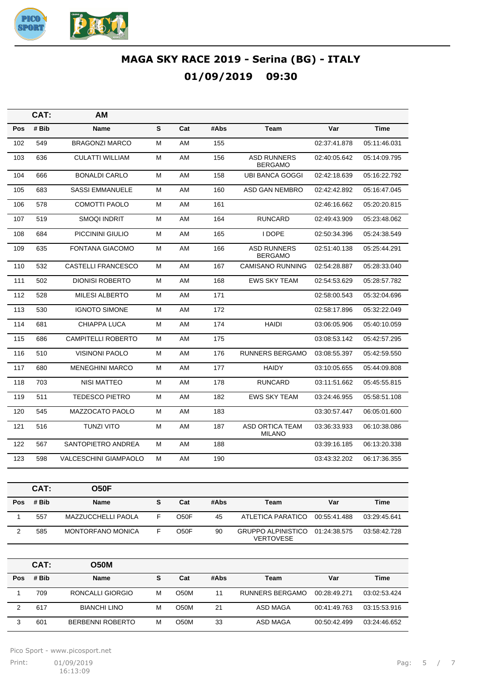

|              | CAT:  | AМ                           |   |      |      |                                         |              |              |
|--------------|-------|------------------------------|---|------|------|-----------------------------------------|--------------|--------------|
| Pos          | # Bib | Name                         | S | Cat  | #Abs | Team                                    | Var          | Time         |
| 102          | 549   | <b>BRAGONZI MARCO</b>        | Μ | AM   | 155  |                                         | 02:37:41.878 | 05:11:46.031 |
| 103          | 636   | <b>CULATTI WILLIAM</b>       | М | AM   | 156  | <b>ASD RUNNERS</b><br><b>BERGAMO</b>    | 02:40:05.642 | 05:14:09.795 |
| 104          | 666   | <b>BONALDI CARLO</b>         | М | AM   | 158  | <b>UBI BANCA GOGGI</b>                  | 02:42:18.639 | 05:16:22.792 |
| 105          | 683   | <b>SASSI EMMANUELE</b>       | М | AM   | 160  | ASD GAN NEMBRO                          | 02:42:42.892 | 05:16:47.045 |
| 106          | 578   | <b>COMOTTI PAOLO</b>         | М | AM   | 161  |                                         | 02:46:16.662 | 05:20:20.815 |
| 107          | 519   | <b>SMOQI INDRIT</b>          | М | AM   | 164  | <b>RUNCARD</b>                          | 02:49:43.909 | 05:23:48.062 |
| 108          | 684   | PICCININI GIULIO             | м | AM   | 165  | <b>I DOPE</b>                           | 02:50:34.396 | 05:24:38.549 |
| 109          | 635   | <b>FONTANA GIACOMO</b>       | Μ | AM   | 166  | <b>ASD RUNNERS</b><br><b>BERGAMO</b>    | 02:51:40.138 | 05:25:44.291 |
| 110          | 532   | <b>CASTELLI FRANCESCO</b>    | М | AM   | 167  | <b>CAMISANO RUNNING</b>                 | 02:54:28.887 | 05:28:33.040 |
| 111          | 502   | <b>DIONISI ROBERTO</b>       | м | AM   | 168  | <b>EWS SKY TEAM</b>                     | 02:54:53.629 | 05:28:57.782 |
| 112          | 528   | <b>MILESI ALBERTO</b>        | м | AM   | 171  |                                         | 02:58:00.543 | 05:32:04.696 |
| 113          | 530   | <b>IGNOTO SIMONE</b>         | М | AM   | 172  |                                         | 02:58:17.896 | 05:32:22.049 |
| 114          | 681   | CHIAPPA LUCA                 | М | AM   | 174  | <b>HAIDI</b>                            | 03:06:05.906 | 05:40:10.059 |
| 115          | 686   | <b>CAMPITELLI ROBERTO</b>    | м | AM   | 175  |                                         | 03:08:53.142 | 05:42:57.295 |
| 116          | 510   | <b>VISINONI PAOLO</b>        | М | AM   | 176  | <b>RUNNERS BERGAMO</b>                  | 03:08:55.397 | 05:42:59.550 |
| 117          | 680   | <b>MENEGHINI MARCO</b>       | м | AM   | 177  | <b>HAIDY</b>                            | 03:10:05.655 | 05:44:09.808 |
| 118          | 703   | <b>NISI MATTEO</b>           | M | AM   | 178  | <b>RUNCARD</b>                          | 03:11:51.662 | 05:45:55.815 |
| 119          | 511   | <b>TEDESCO PIETRO</b>        | М | AM   | 182  | <b>EWS SKY TEAM</b>                     | 03:24:46.955 | 05:58:51.108 |
| 120          | 545   | MAZZOCATO PAOLO              | м | AM   | 183  |                                         | 03:30:57.447 | 06:05:01.600 |
| 121          | 516   | <b>TUNZI VITO</b>            | M | AM   | 187  | <b>ASD ORTICA TEAM</b><br><b>MILANO</b> | 03:36:33.933 | 06:10:38.086 |
| 122          | 567   | SANTOPIETRO ANDREA           | М | AM   | 188  |                                         | 03:39:16.185 | 06:13:20.338 |
| 123          | 598   | <b>VALCESCHINI GIAMPAOLO</b> | М | AM   | 190  |                                         | 03:43:32.202 | 06:17:36.355 |
|              |       |                              |   |      |      |                                         |              |              |
|              | CAT:  | <b>O50F</b>                  |   |      |      |                                         |              |              |
| Pos          | # Bib | Name                         | S | Cat  | #Abs | <b>Team</b>                             | Var          | <b>Time</b>  |
| $\mathbf{1}$ | 557   | MAZZUCCHELLI PAOLA           | F | O50F | 45   | <b>ATLETICA PARATICO</b>                | 00:55:41.488 | 03:29:45.641 |

VERTOVESE **CAT: O50M Pos # Bib Name S Cat #Abs Team Var Time** 1 709 RONCALLI GIORGIO M O50M 11 RUNNERS BERGAMO 00:28:49.271 03:02:53.424

2 617 BIANCHI LINO M O50M 21 ASD MAGA 00:41:49.763 03:15:53.916 3 601 BERBENNI ROBERTO M O50M 33 ASD MAGA 00:50:42.499 03:24:46.652

2 585 MONTORFANO MONICA F O50F 90 GRUPPO ALPINISTICO 01:24:38.575 03:58:42.728

Pico Sport - www.picosport.net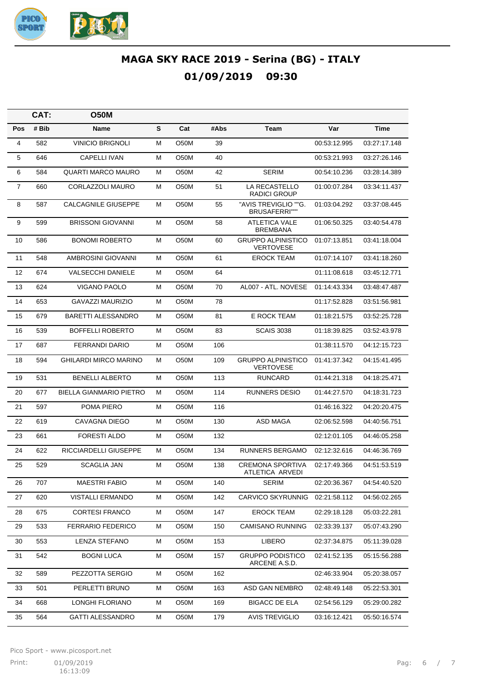

|                | CAT:  | <b>O50M</b>                    |   |                   |      |                                               |              |              |
|----------------|-------|--------------------------------|---|-------------------|------|-----------------------------------------------|--------------|--------------|
| Pos            | # Bib | <b>Name</b>                    | S | Cat               | #Abs | Team                                          | Var          | <b>Time</b>  |
| 4              | 582   | <b>VINICIO BRIGNOLI</b>        | Μ | O <sub>5</sub> 0M | 39   |                                               | 00:53:12.995 | 03:27:17.148 |
| 5              | 646   | <b>CAPELLI IVAN</b>            | Μ | O <sub>5</sub> 0M | 40   |                                               | 00:53:21.993 | 03:27:26.146 |
| 6              | 584   | <b>QUARTI MARCO MAURO</b>      | Μ | O <sub>5</sub> 0M | 42   | <b>SERIM</b>                                  | 00:54:10.236 | 03:28:14.389 |
| $\overline{7}$ | 660   | CORLAZZOLI MAURO               | Μ | O <sub>5</sub> 0M | 51   | LA RECASTELLO<br><b>RADICI GROUP</b>          | 01:00:07.284 | 03:34:11.437 |
| 8              | 587   | CALCAGNILE GIUSEPPE            | Μ | O50M              | 55   | "AVIS TREVIGLIO ""G.<br><b>BRUSAFERRI""</b>   | 01:03:04.292 | 03:37:08.445 |
| 9              | 599   | <b>BRISSONI GIOVANNI</b>       | Μ | O <sub>5</sub> 0M | 58   | ATLETICA VALE<br><b>BREMBANA</b>              | 01:06:50.325 | 03:40:54.478 |
| 10             | 586   | <b>BONOMI ROBERTO</b>          | Μ | O <sub>5</sub> 0M | 60   | <b>GRUPPO ALPINISTICO</b><br><b>VERTOVESE</b> | 01:07:13.851 | 03:41:18.004 |
| 11             | 548   | AMBROSINI GIOVANNI             | м | O50M              | 61   | <b>EROCK TEAM</b>                             | 01:07:14.107 | 03:41:18.260 |
| 12             | 674   | <b>VALSECCHI DANIELE</b>       | Μ | O50M              | 64   |                                               | 01:11:08.618 | 03:45:12.771 |
| 13             | 624   | VIGANO PAOLO                   | м | O50M              | 70   | AL007 - ATL, NOVESE                           | 01:14:43.334 | 03:48:47.487 |
| 14             | 653   | <b>GAVAZZI MAURIZIO</b>        | Μ | O50M              | 78   |                                               | 01:17:52.828 | 03:51:56.981 |
| 15             | 679   | <b>BARETTI ALESSANDRO</b>      | м | O50M              | 81   | E ROCK TEAM                                   | 01:18:21.575 | 03:52:25.728 |
| 16             | 539   | <b>BOFFELLI ROBERTO</b>        | м | O50M              | 83   | <b>SCAIS 3038</b>                             | 01:18:39.825 | 03:52:43.978 |
| 17             | 687   | <b>FERRANDI DARIO</b>          | м | O50M              | 106  |                                               | 01:38:11.570 | 04:12:15.723 |
| 18             | 594   | GHILARDI MIRCO MARINO          | м | O50M              | 109  | <b>GRUPPO ALPINISTICO</b><br><b>VERTOVESE</b> | 01:41:37.342 | 04:15:41.495 |
| 19             | 531   | <b>BENELLI ALBERTO</b>         | М | O <sub>5</sub> 0M | 113  | <b>RUNCARD</b>                                | 01:44:21.318 | 04:18:25.471 |
| 20             | 677   | <b>BIELLA GIANMARIO PIETRO</b> | м | O <sub>5</sub> 0M | 114  | RUNNERS DESIO                                 | 01:44:27.570 | 04:18:31.723 |
| 21             | 597   | POMA PIERO                     | М | O <sub>5</sub> 0M | 116  |                                               | 01:46:16.322 | 04:20:20.475 |
| 22             | 619   | CAVAGNA DIEGO                  | м | O <sub>5</sub> 0M | 130  | <b>ASD MAGA</b>                               | 02:06:52.598 | 04:40:56.751 |
| 23             | 661   | <b>FORESTI ALDO</b>            | М | O <sub>5</sub> 0M | 132  |                                               | 02:12:01.105 | 04:46:05.258 |
| 24             | 622   | RICCIARDELLI GIUSEPPE          | м | O <sub>5</sub> 0M | 134  | <b>RUNNERS BERGAMO</b>                        | 02:12:32.616 | 04:46:36.769 |
| 25             | 529   | <b>SCAGLIA JAN</b>             | м | O50M              | 138  | <b>CREMONA SPORTIVA</b><br>ATLETICA ARVEDI    | 02:17:49.366 | 04:51:53.519 |
| 26             | 707   | <b>MAESTRI FABIO</b>           | М | O50M              | 140  | SERIM                                         | 02:20:36.367 | 04:54:40.520 |
| 27             | 620   | VISTALLI ERMANDO               | М | O50M              | 142  | <b>CARVICO SKYRUNNIG</b>                      | 02:21:58.112 | 04:56:02.265 |
| 28             | 675   | <b>CORTESI FRANCO</b>          | М | O50M              | 147  | <b>EROCK TEAM</b>                             | 02:29:18.128 | 05:03:22.281 |
| 29             | 533   | <b>FERRARIO FEDERICO</b>       | М | O50M              | 150  | CAMISANO RUNNING                              | 02:33:39.137 | 05:07:43.290 |
| 30             | 553   | <b>LENZA STEFANO</b>           | М | O50M              | 153  | <b>LIBERO</b>                                 | 02:37:34.875 | 05:11:39.028 |
| 31             | 542   | <b>BOGNI LUCA</b>              | М | O50M              | 157  | <b>GRUPPO PODISTICO</b><br>ARCENE A.S.D.      | 02:41:52.135 | 05:15:56.288 |
| 32             | 589   | PEZZOTTA SERGIO                | м | O50M              | 162  |                                               | 02:46:33.904 | 05:20:38.057 |
| 33             | 501   | PERLETTI BRUNO                 | М | O50M              | 163  | ASD GAN NEMBRO                                | 02:48:49.148 | 05:22:53.301 |
| 34             | 668   | LONGHI FLORIANO                | М | O50M              | 169  | <b>BIGACC DE ELA</b>                          | 02:54:56.129 | 05:29:00.282 |
| 35             | 564   | <b>GATTI ALESSANDRO</b>        | М | O50M              | 179  | <b>AVIS TREVIGLIO</b>                         | 03:16:12.421 | 05:50:16.574 |